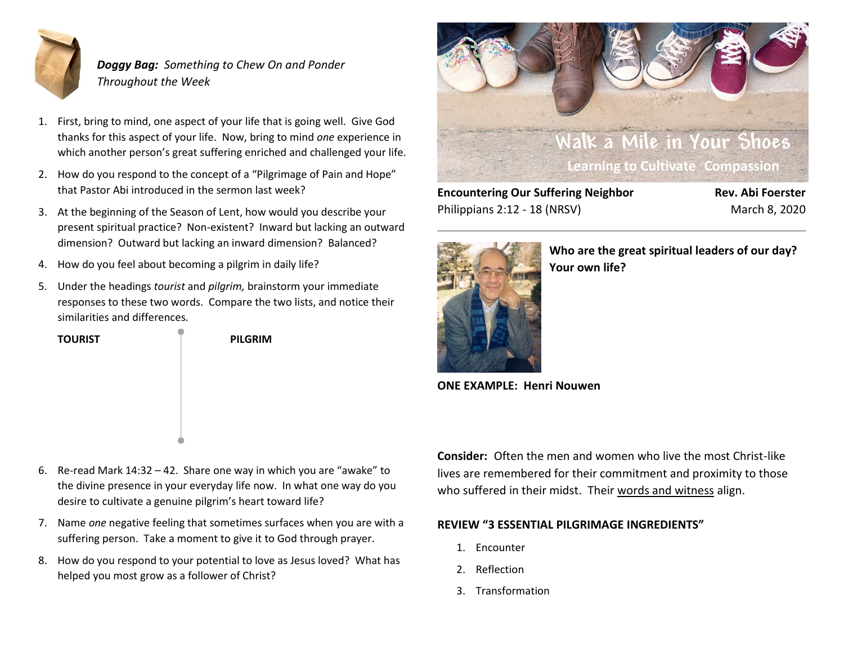

*Doggy Bag: Something to Chew On and Ponder Throughout the Week*

- 1. First, bring to mind, one aspect of your life that is going well. Give God thanks for this aspect of your life. Now, bring to mind *one* experience in which another person's great suffering enriched and challenged your life.
- 2. How do you respond to the concept of a "Pilgrimage of Pain and Hope" that Pastor Abi introduced in the sermon last week?
- 3. At the beginning of the Season of Lent, how would you describe your present spiritual practice? Non-existent? Inward but lacking an outward dimension? Outward but lacking an inward dimension? Balanced?
- 4. How do you feel about becoming a pilgrim in daily life?
- 5. Under the headings *tourist* and *pilgrim,* brainstorm your immediate responses to these two words. Compare the two lists, and notice their similarities and differences.

**TOURIST PILGRIM**



**Encountering Our Suffering Neighbor Rev. Abi Foerster** Philippians 2:12 - 18 (NRSV) March 8, 2020



**Who are the great spiritual leaders of our day? Your own life?** 

**ONE EXAMPLE: Henri Nouwen**

- 6. Re-read Mark 14:32 42. Share one way in which you are "awake" to the divine presence in your everyday life now. In what one way do you desire to cultivate a genuine pilgrim's heart toward life?
- 7. Name *one* negative feeling that sometimes surfaces when you are with a suffering person. Take a moment to give it to God through prayer.
- 8. How do you respond to your potential to love as Jesus loved? What has helped you most grow as a follower of Christ?

**Consider:** Often the men and women who live the most Christ-like lives are remembered for their commitment and proximity to those who suffered in their midst. Their words and witness align.

### **REVIEW "3 ESSENTIAL PILGRIMAGE INGREDIENTS"**

- 1. Encounter
- 2. Reflection
- 3. Transformation